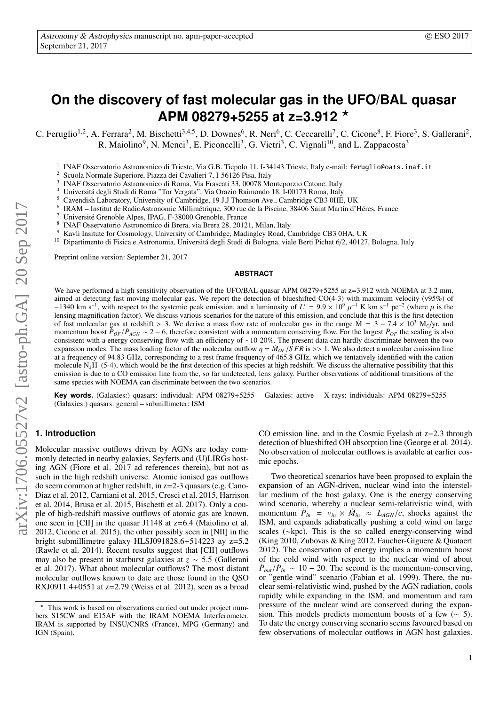# **On the discovery of fast molecular gas in the UFO/BAL quasar APM 08279+5255 at z=3.912** ?

C. Feruglio<sup>1,2</sup>, A. Ferrara<sup>2</sup>, M. Bischetti<sup>3,4,5</sup>, D. Downes<sup>6</sup>, R. Neri<sup>6</sup>, C. Ceccarelli<sup>7</sup>, C. Cicone<sup>8</sup>, F. Fiore<sup>3</sup>, S. Gallerani<sup>2</sup>, R. Maiolino<sup>9</sup>, N. Menci<sup>3</sup>, E. Piconcelli<sup>3</sup>, G. Vietri<sup>3</sup>, C. Vignali<sup>10</sup>, and L. Zappacosta<sup>3</sup>

<sup>1</sup> INAF Osservatorio Astronomico di Trieste, Via G.B. Tiepolo 11, I-34143 Trieste, Italy e-mail: feruglio@oats.inaf.it

<sup>2</sup> Scuola Normale Superiore, Piazza dei Cavalieri 7, I-56126 Pisa, Italy

- 3 INAF Osservatorio Astronomico di Roma, Via Frascati 33, 00078 Monteporzio Catone, Italy
- <sup>4</sup> Universitá degli Studi di Roma "Tor Vergata", Via Orazio Raimondo 18, I-00173 Roma, Italy  $\frac{5}{2}$  Councilie Laboratory University of Combridge, 10, U.Thomson Ave. Combridge CB2, 0UE
- <sup>5</sup> Cavendish Laboratory, University of Cambridge, 19 J.J Thomson Ave., Cambridge CB3 0HE, UK
- 6 IRAM – Institut de RadioAstronomie Millimétrique, 300 rue de la Piscine, 38406 Saint Martin d'Héres, France
- Université Grenoble Alpes, IPAG, F-38000 Grenoble, France
- 8 INAF Osservatorio Astronomico di Brera, via Brera 28, 20121, Milan, Italy
- <sup>9</sup> Kavli Insitute for Cosmology, University of Cambridge, Madingley Road, Cambridge CB3 0HA, UK<br><sup>10</sup> Dipartimento di Eisica e Astronomia, Università degli Studi di Bologna, viale Berti Pichat 6/2, 40127
- Dipartimento di Fisica e Astronomia, Universitá degli Studi di Bologna, viale Berti Pichat 6/2, 40127, Bologna, Italy

Preprint online version: September 21, 2017

#### **ABSTRACT**

We have performed a high sensitivity observation of the UFO/BAL quasar APM 08279+5255 at  $z=3.912$  with NOEMA at 3.2 mm, aimed at detecting fast moving molecular gas. We report the detection of blueshifted CO(4-3) with maximum velocity (v95%) of −1340 km s<sup>−1</sup>, with respect to the systemic peak emission, and a luminosity of *L'* = 9.9 × 10<sup>9</sup> μ<sup>-1</sup> K km s<sup>-1</sup> pc<sup>-2</sup> (where μ is the first detection factor). We discuss various scenarios for the nature of this emi lensing magnification factor). We discuss various scenarios for the nature of this emission, and conclude that this is the first detection of fast molecular gas at redshift > 3. We derive a mass flow rate of molecular gas in the range  $\dot{M} = 3 - 7.4 \times 10^3$  M<sub>o</sub>/yr, and momentum boost  $\dot{P}_{OF}/\dot{P}_{AGN} \sim 2 - 6$ , therefore consistent with a momentum conserving flow. For the largest  $\dot{P}_{OF}$  the scaling is also<br>consistent with a energy conserving flow with an efficiency of ~10-20%. The pres consistent with a energy conserving flow with an efficiency of ∼10-20%. The present data can hardly discriminate between the two expansion modes. The mass loading factor of the molecular outflow  $\eta = M_{OF}/SFR$  is  $>> 1$ . We also detect a molecular emission line at a frequency of 94.83 GHz, corresponding to a rest frame frequency of 465.8 GHz, which we tentatively identified with the cation molecule  $N_2H^+(5-4)$ , which would be the first detection of this species at high redshift. We discuss the alternative possibility that this emission is due to a CO emission line from the, so far undetected, lens galaxy. Further observations of additional transitions of the same species with NOEMA can discriminate between the two scenarios.

Key words. (Galaxies:) quasars: individual: APM 08279+5255 – Galaxies: active – X-rays: individuals: APM 08279+5255 – (Galaxies:) quasars: general – submillimeter: ISM

# **1. Introduction**

Molecular massive outflows driven by AGNs are today commonly detected in nearby galaxies, Seyferts and (U)LIRGs hosting AGN (Fiore et al. 2017 ad references therein), but not as such in the high redshift universe. Atomic ionised gas outflows do seem common at higher redshift, in z=2-3 quasars (e.g. Cano-Diaz et al. 2012, Carniani et al. 2015, Cresci et al. 2015, Harrison et al. 2014, Brusa et al. 2015, Bischetti et al. 2017). Only a couple of high-redshift massive outflows of atomic gas are known, one seen in [CII] in the quasar J1148 at z=6.4 (Maiolino et al. 2012, Cicone et al. 2015), the other possibly seen in [NII] in the bright submillimetre galaxy HLSJ091828.6+514223 ay z=5.2 (Rawle et al. 2014). Recent results suggest that [CII] outflows may also be present in starburst galaxies at *<sup>z</sup>* <sup>∼</sup> <sup>5</sup>.5 (Gallerani et al. 2017). What about molecular outflows? The most distant molecular outflows known to date are those found in the QSO RXJ0911.4+0551 at z=2.79 (Weiss et al. 2012), seen as a broad CO emission line, and in the Cosmic Eyelash at z=2.3 through detection of blueshifted OH absorption line (George et al. 2014). No observation of molecular outflows is available at earlier cosmic epochs.

Two theoretical scenarios have been proposed to explain the expansion of an AGN-driven, nuclear wind into the interstellar medium of the host galaxy. One is the energy conserving wind scenario, whereby a nuclear semi-relativistic wind, with momentum  $\hat{P}_{in} = v_{in} \times \hat{M}_{in} \approx L_{AGN}/c$ , shocks against the ISM and expands adjabatically pushing a cold wind on large ISM, and expands adiabatically pushing a cold wind on large scales (∼kpc). This is the so called energy-conserving wind (King 2010, Zubovas & King 2012, Faucher-Giguere & Quataert 2012). The conservation of energy implies a momentum boost of the cold wind with respect to the nuclear wind of about  $\dot{P}_{out}/\dot{P}_{in} \sim 10 - 20$ . The second is the momentum-conserving, or "gentle wind" scenario (Fabian et al. 1999). There the nuor "gentle wind" scenario (Fabian et al. 1999). There, the nuclear semi-relativistic wind, pushed by the AGN radiation, cools rapidly while expanding in the ISM, and momentum and ram pressure of the nuclear wind are conserved during the expansion. This models predicts momentum boosts of a few  $(\sim 5)$ . To date the energy conserving scenario seems favoured based on few observations of molecular outflows in AGN host galaxies.

<sup>\*</sup> This work is based on observations carried out under project numbers S15CW and E15AF with the IRAM NOEMA Interferometer. IRAM is supported by INSU/CNRS (France), MPG (Germany) and IGN (Spain).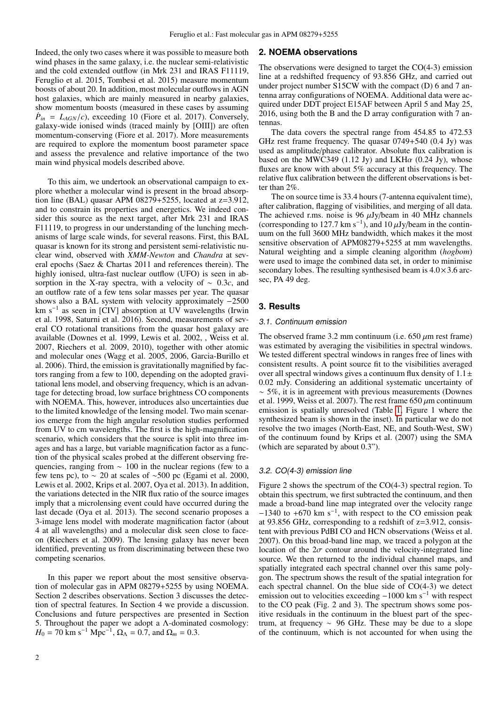Indeed, the only two cases where it was possible to measure both wind phases in the same galaxy, i.e. the nuclear semi-relativistic and the cold extended outflow (in Mrk 231 and IRAS F11119, Feruglio et al. 2015, Tombesi et al. 2015) measure momentum boosts of about 20. In addition, most molecular outflows in AGN host galaxies, which are mainly measured in nearby galaxies, show momentum boosts (measured in these cases by assuming  $\dot{P}_{in} = L_{AGN}/c$ , exceeding 10 (Fiore et al. 2017). Conversely, ealaxy-wide ionised winds (traced mainly by [OIIII) are often galaxy-wide ionised winds (traced mainly by [OIII]) are often momentum-conserving (Fiore et al. 2017). More measurements are required to explore the momentum boost parameter space and assess the prevalence and relative importance of the two main wind physical models described above.

To this aim, we undertook an observational campaign to explore whether a molecular wind is present in the broad absorption line (BAL) quasar APM 08279+5255, located at z=3.912, and to constrain its properties and energetics. We indeed consider this source as the next target, after Mrk 231 and IRAS F11119, to progress in our understanding of the lunching mechanisms of large scale winds, for several reasons. First, this BAL quasar is known for its strong and persistent semi-relativistic nuclear wind, observed with *XMM-Newton* and *Chandra* at several epochs (Saez & Chartas 2011 and references therein). The highly ionised, ultra-fast nuclear outflow (UFO) is seen in absorption in the X-ray spectra, with a velocity of <sup>∼</sup> <sup>0</sup>.3*c*, and an outflow rate of a few tens solar masses per year. The quasar shows also a BAL system with velocity approximately −2500 km s<sup>−</sup><sup>1</sup> as seen in [CIV] absorption at UV wavelengths (Irwin et al. 1998, Saturni et al. 2016). Second, measurements of several CO rotational transitions from the quasar host galaxy are available (Downes et al. 1999, Lewis et al. 2002, , Weiss et al. 2007, Riechers et al. 2009, 2010), together with other atomic and molecular ones (Wagg et al. 2005, 2006, Garcia-Burillo et al. 2006). Third, the emission is gravitationally magnified by factors ranging from a few to 100, depending on the adopted gravitational lens model, and observing frequency, which is an advantage for detecting broad, low surface brightness CO components with NOEMA. This, however, introduces also uncertainties due to the limited knowledge of the lensing model. Two main scenarios emerge from the high angular resolution studies performed from UV to cm wavelengths. The first is the high-magnification scenario, which considers that the source is split into three images and has a large, but variable magnification factor as a function of the physical scales probed at the different observing frequencies, ranging from ∼ 100 in the nuclear regions (few to a few tens pc), to  $\sim$  20 at scales of ~500 pc (Egami et al. 2000, Lewis et al. 2002, Krips et al. 2007, Oya et al. 2013). In addition, the variations detected in the NIR flux ratio of the source images imply that a microlensing event could have occurred during the last decade (Oya et al. 2013). The second scenario proposes a 3-image lens model with moderate magnification factor (about 4 at all wavelengths) and a molecular disk seen close to faceon (Riechers et al. 2009). The lensing galaxy has never been identified, preventing us from discriminating between these two competing scenarios.

In this paper we report about the most sensitive observation of molecular gas in APM 08279+5255 by using NOEMA. Section 2 describes observations. Section 3 discusses the detection of spectral features. In Section 4 we provide a discussion. Conclusions and future perspectives are presented in Section 5. Throughout the paper we adopt a Λ-dominated cosmology:  $H_0 = 70 \text{ km s}^{-1} \text{ Mpc}^{-1}, \Omega_\Lambda = 0.\overline{7}, \text{ and } \Omega_m = 0.3.$ 

## **2. NOEMA observations**

The observations were designed to target the CO(4-3) emission line at a redshifted frequency of 93.856 GHz, and carried out under project number S15CW with the compact (D) 6 and 7 antenna array configurations of NOEMA. Additional data were acquired under DDT project E15AF between April 5 and May 25, 2016, using both the B and the D array configuration with 7 antennas.

The data covers the spectral range from 454.85 to 472.53 GHz rest frame frequency. The quasar 0749+540 (0.4 Jy) was used as amplitude/phase calibrator. Absolute flux calibration is based on the MWC349 (1.12 Jy) and LKH $\alpha$  (0.24 Jy), whose fluxes are know with about 5% accuracy at this frequency. The relative flux calibration between the different observations is better than 2%.

The on source time is 33.4 hours (7-antenna equivalent time), after calibration, flagging of visibilities, and merging of all data. The achieved r.ms. noise is 96  $\mu$ Jy/beam in 40 MHz channels (corresponding to 127.7 km s<sup>-1</sup>), and 10  $\mu$ Jy/beam in the contin-<br>uum on the full 3600 MHz bandwidth, which makes it the most uum on the full 3600 MHz bandwidth, which makes it the most sensitive observation of APM08279+5255 at mm wavelengths. Natural weighting and a simple cleaning algorithm (*hogbom*) were used to image the combined data set, in order to minimise secondary lobes. The resulting synthesised beam is  $4.0 \times 3.6$  arcsec, PA 49 deg.

# **3. Results**

#### 3.1. Continuum emission

The observed frame  $3.2$  mm continuum (i.e.  $650 \mu m$  rest frame) was estimated by averaging the visibilities in spectral windows. We tested different spectral windows in ranges free of lines with consistent results. A point source fit to the visibilities averaged over all spectral windows gives a continuum flux density of  $1.1 \pm$ <sup>0</sup>.02 mJy. Considering an additional systematic uncertainty of  $~\sim 5\%$ , it is in agreement with previous measurements (Downes et al. 1999, Weiss et al. 2007). The rest frame  $650 \mu m$  continuum emission is spatially unresolved (Table [1,](#page-3-0) Figure 1 where the synthesized beam is shown in the inset). In particular we do not resolve the two images (North-East, NE, and South-West, SW) of the continuum found by Krips et al. (2007) using the SMA (which are separated by about 0.3").

# <span id="page-1-0"></span>3.2. CO(4-3) emission line

Figure 2 shows the spectrum of the CO(4-3) spectral region. To obtain this spectrum, we first subtracted the continuum, and then made a broad-band line map integrated over the velocity range −1340 to +670 km s<sup>−</sup><sup>1</sup> , with respect to the CO emission peak at 93.856 GHz, corresponding to a redshift of z=3.912, consistent with previous PdBI CO and HCN observations (Weiss et al. 2007). On this broad-band line map, we traced a polygon at the location of the  $2\sigma$  contour around the velocity-integrated line source. We then returned to the individual channel maps, and spatially integrated each spectral channel over this same polygon. The spectrum shows the result of the spatial integration for each spectral channel. On the blue side of CO(4-3) we detect emission out to velocities exceeding  $-1000 \text{ km s}^{-1}$  with respect to the CO peak (Fig. 2 and 3). The spectrum shows some positive residuals in the continuum in the bluest part of the spectrum, at frequency  $\sim$  96 GHz. These may be due to a slope of the continuum, which is not accounted for when using the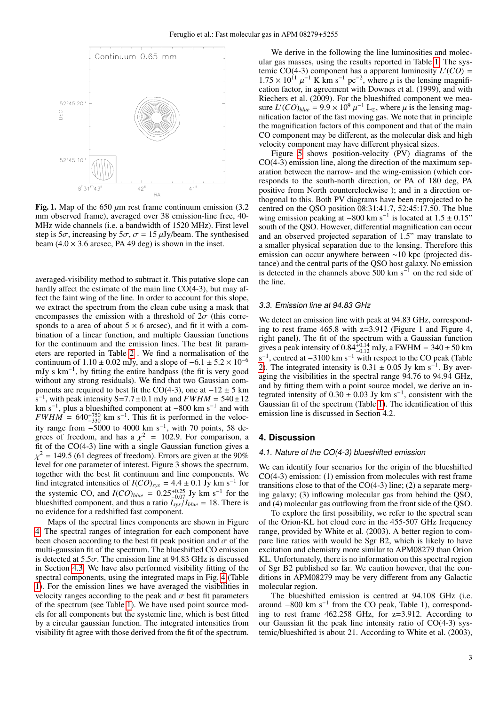

Fig. 1. Map of the 650  $\mu$ m rest frame continuum emission (3.2) mm observed frame), averaged over 38 emission-line free, 40- MHz wide channels (i.e. a bandwidth of 1520 MHz). First level step is  $5\sigma$ , increasing by  $5\sigma$ ,  $\sigma = 15 \mu Jy/beam$ . The synthesised beam  $(4.0 \times 3.6$  arcsec, PA 49 deg) is shown in the inset.

averaged-visibility method to subtract it. This putative slope can hardly affect the estimate of the main line  $CO(4-3)$ , but may affect the faint wing of the line. In order to account for this slope, we extract the spectrum from the clean cube using a mask that encompasses the emission with a threshold of  $2\sigma$  (this corresponds to a area of about  $5 \times 6$  arcsec), and fit it with a combination of a linear function, and multiple Gaussian functions for the continuum and the emission lines. The best fit parameters are reported in Table [2](#page-3-1) . We find a normalisation of the continuum of  $1.10 \pm 0.02$  mJy, and a slope of  $-6.1 \pm 5.2 \times 10^{-6}$ mJy s km<sup>-1</sup>, by fitting the entire bandpass (the fit is very good without any strong residuals). We find that two Gaussian components are required to best fit the CO(4-3), one at  $-12 \pm 5$  km  $\frac{1}{s}$ <sup>-1</sup> s<sup>-1</sup>, with peak intensity S=7.7±0.1 mJy and *FWHM* = 540±12<br>km s<sup>-1</sup>, plus a blueshifted component at −800 km s<sup>-1</sup> and with  $FWHM = 640^{+750}_{-330}$  km s<sup>-1</sup>. This fit is performed in the velocity range from  $-5000$  to 4000 km s<sup>-1</sup>, with 70 points, 58 degrees of freedom, and has a  $\chi^2 = 102.9$ . For comparison, a<br>fit of the CO(4-3) line with a single Gaussian function gives a fit of the CO(4-3) line with a single Gaussian function gives a χ level for one parameter of interest. Figure 3 shows the spectrum,  $\chi^2$  = 149.5 (61 degrees of freedom). Errors are given at the 90% together with the best fit continuum and line components. We find integrated intensities of  $I(CO)_{sys} = 4.4 \pm 0.1 \text{ Jy km s}^{-1}$  for the systemic  $CO$  and  $I(CO)_{3.4} = 0.25 \pm 0.25 \text{ Jy km s}^{-1}$  for the the systemic CO, and  $I(CO)_{blue} = 0.25^{+0.25}_{-0.07}$  Jy km s<sup>-1</sup> for the blueshifted component, and thus a ratio  $I_{\text{max}}/I_{blue} = 18$ . There is blueshifted component, and thus a ratio  $I_{sys}/I_{blue} = 18$ . There is no evidence for a redshifted fast component no evidence for a redshifted fast component.

Maps of the spectral lines components are shown in Figure [4.](#page-5-0) The spectral ranges of integration for each component have been chosen according to the best fit peak position and  $\sigma$  of the multi-gaussian fit of the spectrum. The blueshifted CO emission is detected at  $5.5\sigma$ . The emission line at 94.83 GHz is discussed in Section [4.3.](#page-6-0) We have also performed visibility fitting of the spectral components, using the integrated maps in Fig. [4](#page-5-0) (Table [1\)](#page-3-0). For the emission lines we have averaged the visibilities in velocity ranges according to the peak and  $\sigma$  best fit parameters of the spectrum (see Table [1\)](#page-3-0). We have used point source models for all components but the systemic line, which is best fitted by a circular gaussian function. The integrated intensities from visibility fit agree with those derived from the fit of the spectrum.

We derive in the following the line luminosities and molecular gas masses, using the results reported in Table [1.](#page-3-0) The systemic CO(4-3) component has a apparent luminosity  $L'(CO)$  =  $1.75 \times 10^{11} \mu^{-1}$  K km s<sup>-1</sup> pc<sup>-2</sup>, where  $\mu$  is the lensing magnification factor in agreement with Downes et al. (1999) and with cation factor, in agreement with Downes et al. (1999), and with Riechers et al. (2009). For the blueshifted component we measure  $L'(CO)_{blue} = 9.9 \times 10^9 \mu^{-1}$  L<sub>\oppo</sub>, where  $\mu$  is the lensing mag-<br>nification factor of the fast moving gas. We note that in principle nification factor of the fast moving gas. We note that in principle the magnification factors of this component and that of the main CO component may be different, as the molecular disk and high velocity component may have different physical sizes.

Figure [5](#page-5-1) shows position-velocity (PV) diagrams of the CO(4-3) emission line, along the direction of the maximum separation between the narrow- and the wing-emission (which corresponds to the south-north direction, or PA of 180 deg, PA positive from North counterclockwise ); and in a direction orthogonal to this. Both PV diagrams have been reprojected to be centred on the QSO position 08:31:41.7, 52:45:17.50. The blue wing emission peaking at  $-800 \text{ km s}^{-1}$  is located at  $1.5 \pm 0.15$ "<br>south of the OSO. However, differential magnification can occur south of the QSO. However, differential magnification can occur and an observed projected separation of 1.5" may translate to a smaller physical separation due to the lensing. Therefore this emission can occur anywhere between ∼10 kpc (projected distance) and the central parts of the QSO host galaxy. No emission is detected in the channels above 500 km s−<sup>1</sup> on the red side of the line.

### 3.3. Emission line at 94.83 GHz

We detect an emission line with peak at 94.83 GHz, corresponding to rest frame 465.8 with z=3.912 (Figure 1 and Figure 4, right panel). The fit of the spectrum with a Gaussian function gives a peak intensity of  $0.84_{-0.14}^{+0.14}$  mJy, a FWHM = 340 ± 50 km s<sup>-1</sup> centred at -3100 km s<sup>-1</sup> with respect to the CO peak (Table s<sup>-1</sup>, centred at  $-3100 \text{ km s}^{-1}$  with respect to the CO peak (Table [2\)](#page-3-1). The integrated intensity is  $0.31 \pm 0.05$  Jy km s<sup>-1</sup>. By averaging the visibilities in the spectral range 94.76 to 94.94 GHz aging the visibilities in the spectral range 94.76 to 94.94 GHz, and by fitting them with a point source model, we derive an integrated intensity of  $0.30 \pm 0.03$  Jy km s<sup>-1</sup>, consistent with the Gaussian fit of the spectrum (Table 1). The identification of this Gaussian fit of the spectrum (Table [1\)](#page-3-0). The identification of this emission line is discussed in Section 4.2.

## **4. Discussion**

## 4.1. Nature of the CO(4-3) blueshifted emission

We can identify four scenarios for the origin of the blueshifted CO(4-3) emission: (1) emission from molecules with rest frame transitions close to that of the  $CO(4-3)$  line; (2) a separate merging galaxy; (3) inflowing molecular gas from behind the QSO, and (4) molecular gas outflowing from the front side of the QSO.

To explore the first possibility, we refer to the spectral scan of the Orion-KL hot cloud core in the 455-507 GHz frequency range, provided by White et al. (2003). A better region to compare line ratios with would be Sgr B2, which is likely to have excitation and chemistry more similar to APM08279 than Orion KL. Unfortunately, there is no information on this spectral region of Sgr B2 published so far. We caution however, that the conditions in APM08279 may be very different from any Galactic molecular region.

The blueshifted emission is centred at 94.108 GHz (i.e. around −800 km s<sup>−</sup><sup>1</sup> from the CO peak, Table 1), corresponding to rest frame 462.258 GHz, for z=3.912. According to our Gaussian fit the peak line intensity ratio of CO(4-3) systemic/blueshifted is about 21. According to White et al. (2003),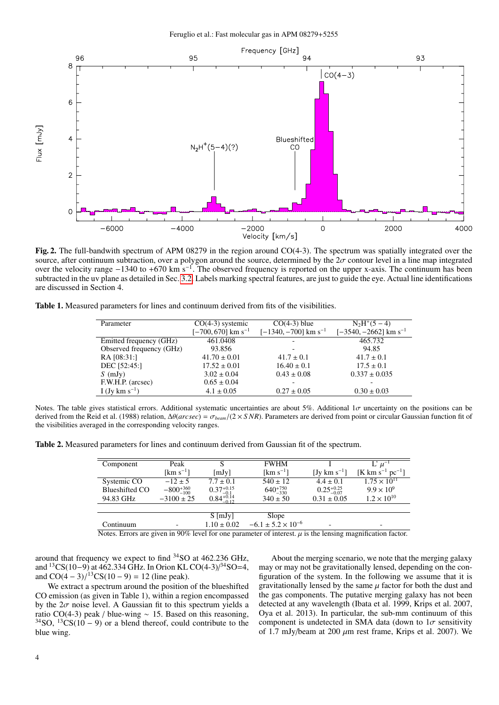

Fig. 2. The full-bandwith spectrum of APM 08279 in the region around CO(4-3). The spectrum was spatially integrated over the source, after continuum subtraction, over a polygon around the source, determined by the  $2\sigma$  c source, after continuum subtraction, over a polygon around the source, determined by the  $2\sigma$  contour level in a line map integrated<br>over the velocity range  $-1340$  to +670 km s<sup>-1</sup>. The observed frequency is reported on subtracted in the uv plane as detailed in Sec. [3.2.](#page-1-0) Labels marking spectral features, are just to guide the eye. Actual line identifications are discussed in Section 4.

<span id="page-3-0"></span>Table 1. Measured parameters for lines and continuum derived from fits of the visibilities.

| Parameter                | $CO(4-3)$ systemic             | $CO(4-3)$ blue                     | $N_2H^+(5-4)$                       |  |
|--------------------------|--------------------------------|------------------------------------|-------------------------------------|--|
|                          | [-700, 670] km s <sup>-1</sup> | $[-1340, -700]$ km s <sup>-1</sup> | $[-3540, -2662]$ km s <sup>-1</sup> |  |
| Emitted frequency (GHz)  | 461.0408                       |                                    | 465.732                             |  |
| Observed frequency (GHz) | 93.856                         |                                    | 94.85                               |  |
| RA [08:31:]              | $41.70 \pm 0.01$               | $41.7 \pm 0.1$                     | $41.7 \pm 0.1$                      |  |
| DEC [52:45:]             | $17.52 \pm 0.01$               | $16.40 \pm 0.1$                    | $17.5 \pm 0.1$                      |  |
| $S$ (mJy)                | $3.02 \pm 0.04$                | $0.43 \pm 0.08$                    | $0.337 \pm 0.035$                   |  |
| F.W.H.P. (arcsec)        | $0.65 \pm 0.04$                |                                    |                                     |  |
| I (Jy km $s^{-1}$ )      | $4.1 \pm 0.05$                 | $0.27 \pm 0.05$                    | $0.30 \pm 0.03$                     |  |
|                          |                                |                                    |                                     |  |

Notes. The table gives statistical errors. Additional systematic uncertainties are about 5%. Additional  $1\sigma$  uncertainty on the positions can be derived from the Reid et al. (1988) relation, <sup>∆</sup>θ(*arcsec*) <sup>=</sup> σ*beam*/(2 <sup>×</sup> *S NR*). Parameters are derived from point or circular Gaussian function fit of the visibilities averaged in the corresponding velocity ranges.

<span id="page-3-1"></span>Table 2. Measured parameters for lines and continuum derived from Gaussian fit of the spectrum.

| Component                                                                                                  | Peak                  |                                                 | <b>FWHM</b>                   |                        | $L' \mu^-$                               |
|------------------------------------------------------------------------------------------------------------|-----------------------|-------------------------------------------------|-------------------------------|------------------------|------------------------------------------|
|                                                                                                            | [km s <sup>-1</sup> ] | [mJy]                                           | $\mathrm{[km\;s^{-1}]}$       | [Jy km $s^{-1}$ ]      | [K km s <sup>-1</sup> pc <sup>-1</sup> ] |
| Systemic CO                                                                                                | $-12 \pm 5$           | $7.7 \pm 0.1$                                   | $540 \pm 12$                  | $4.4 \pm 0.1$          | $1.75 \times 10^{11}$                    |
| Blueshifted CO                                                                                             | $-800^{+360}_{-100}$  |                                                 | $640^{+750}_{-330}$           | $0.25_{-0.07}^{+0.25}$ | $9.9 \times 10^{9}$                      |
| 94.83 GHz                                                                                                  | $-3100 \pm 25$        | $0.37^{+0.15}_{-0.1}$<br>$0.84^{+0.14}_{-0.12}$ | $340 \pm 50$                  | $0.31 \pm 0.05$        | $1.2 \times 10^{10}$                     |
|                                                                                                            |                       |                                                 |                               |                        |                                          |
|                                                                                                            |                       | $S$ [mJy]                                       | Slope                         |                        |                                          |
| Continuum                                                                                                  |                       | $1.10 \pm 0.02$                                 | $-6.1 \pm 5.2 \times 10^{-6}$ | ۰                      |                                          |
| Notes Frrors are given in $90\%$ level for one parameter of interest u is the lensing magnification factor |                       |                                                 |                               |                        |                                          |

Notes. Errors are given in 90% level for one parameter of interest.  $\mu$  is the lensing magnification factor.

around that frequency we expect to find <sup>34</sup>SO at 462.236 GHz, and <sup>13</sup>CS(10−9) at 462.334 GHz. In Orion KL CO(4-3)/<sup>34</sup>SO=4, and  $CO(4-3)/{^{13}}CS(10-9) = 12$  (line peak).<br>We extract a spectrum around the position

We extract a spectrum around the position of the blueshifted CO emission (as given in Table 1), within a region encompassed by the  $2\sigma$  noise level. A Gaussian fit to this spectrum yields a ratio CO(4-3) peak / blue-wing  $\sim$  15. Based on this reasoning, <sup>34</sup>SO, <sup>13</sup>CS(10 – 9) or a blend thereof, could contribute to the blue wing.

About the merging scenario, we note that the merging galaxy may or may not be gravitationally lensed, depending on the configuration of the system. In the following we assume that it is gravitationally lensed by the same  $\mu$  factor for both the dust and the gas components. The putative merging galaxy has not been detected at any wavelength (Ibata et al. 1999, Krips et al. 2007, Oya et al. 2013). In particular, the sub-mm continuum of this component is undetected in SMA data (down to  $1\sigma$  sensitivity of 1.7 mJy/beam at 200  $\mu$ m rest frame, Krips et al. 2007). We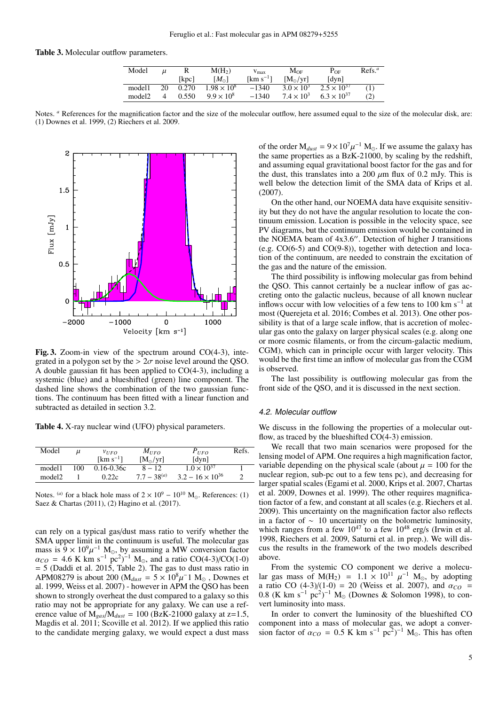## Table 3. Molecular outflow parameters.

| Model  |    |       | $M(H_2)$             | $V_{\rm max}$           | $M_{OF}$            | $P_{OF}$                   | Refs <sup>a</sup> |
|--------|----|-------|----------------------|-------------------------|---------------------|----------------------------|-------------------|
|        |    | [kpc] | $[M_{\odot}]$        | $\mathrm{[km\;s^{-1}]}$ | $[M_{\odot}/yr]$    | $\lceil \text{dyn} \rceil$ |                   |
| model1 | 20 | 0.270 | $1.98 \times 10^{8}$ | $-1340$                 | $3.0 \times 10^{3}$ | $2.5 \times 10^{37}$       | (1)               |
| model2 |    | 0.550 | $9.9 \times 10^{8}$  | $-1340$                 | $7.4 \times 10^{3}$ | $6.3 \times 10^{37}$       | (2)               |
|        |    |       |                      |                         |                     |                            |                   |

Notes. *a* References for the magnification factor and the size of the molecular outflow, here assumed equal to the size of the molecular disk, are: (1) Downes et al. 1999, (2) Riechers et al. 2009.



Fig. 3. Zoom-in view of the spectrum around CO(4-3), integrated in a polygon set by the  $> 2\sigma$  noise level around the QSO. A double gaussian fit has been applied to CO(4-3), including a systemic (blue) and a blueshifted (green) line component. The dashed line shows the combination of the two gaussian functions. The continuum has been fitted with a linear function and subtracted as detailed in section 3.2.

Table 4. X-ray nuclear wind (UFO) physical parameters.

| Model              | и   | VUFO                            | $M_{IFO}$        | $P_{UFO}$                  | Refs. |
|--------------------|-----|---------------------------------|------------------|----------------------------|-------|
|                    |     | $\mathrm{Km}$ s <sup>-1</sup> 1 | $[M_{\odot}/yr]$ | $\lceil \text{dyn} \rceil$ |       |
| model1             | 100 | $0.16 - 0.36c$                  | $8 - 12$         | $1.0 \times 10^{37}$       |       |
| model <sub>2</sub> |     | 0.22c                           | $7.7 - 38^{(a)}$ | $3.2 - 16 \times 10^{36}$  |       |
|                    |     |                                 |                  |                            |       |

Notes. <sup>(*a*)</sup> for a black hole mass of  $2 \times 10^9 - 10^{10}$  M<sub>o</sub>. References: (1) Saez & Chartas (2011), (2) Hagino et al. (2017).

can rely on a typical gas/dust mass ratio to verify whether the SMA upper limit in the continuum is useful. The molecular gas mass is  $9 \times 10^9 \mu^{-1}$  M<sub>\oppo</sub>, by assuming a MW conversion factor<br> $\alpha_{CO} = 4.6$  K km s<sup>-1</sup> pc<sup>2</sup>)<sup>-1</sup> M<sub>\oppo</sub> and a ratio CO(4-3)/CO(1-0)  $\alpha_{CO} = 4.6$  K km s<sup>-1</sup> pc<sup>2</sup>)<sup>-1</sup> M<sub>o</sub>, and a ratio CO(4-3)/CO(1-0)<br>= 5 (Daddi et al. 2015, Table 2). The gas to dust mass ratio in = 5 (Daddi et al. 2015, Table 2). The gas to dust mass ratio in APM08279 is about 200 ( $M_{dust} = 5 \times 10^8 \mu^{-1}$  M<sub>o</sub>, Downes et al. 1999 Weiss et al. 2007) - however in APM the OSO has been al. 1999, Weiss et al. 2007) - however in APM the QSO has been shown to strongly overheat the dust compared to a galaxy so this ratio may not be appropriate for any galaxy. We can use a reference value of  $M_{gas}/M_{dust} = 100$  (BzK-21000 galaxy at z=1.5, Magdis et al. 2011; Scoville et al. 2012). If we applied this ratio to the candidate merging galaxy, we would expect a dust mass

of the order  $M_{dust} = 9 \times 10^7 \mu^{-1} M_{\odot}$ . If we assume the galaxy has the same properties as a BzK-21000 by scaling by the redshift the same properties as a BzK-21000, by scaling by the redshift, and assuming equal gravitational boost factor for the gas and for the dust, this translates into a 200  $\mu$ m flux of 0.2 mJy. This is well below the detection limit of the SMA data of Krips et al. (2007).

On the other hand, our NOEMA data have exquisite sensitivity but they do not have the angular resolution to locate the continuum emission. Location is possible in the velocity space, see PV diagrams, but the continuum emission would be contained in the NOEMA beam of  $4x3.6$ ". Detection of higher J transitions (e.g. CO(6-5) and CO(9-8)), together with detection and location of the continuum, are needed to constrain the excitation of the gas and the nature of the emission.

The third possibility is inflowing molecular gas from behind the QSO. This cannot certainly be a nuclear inflow of gas accreting onto the galactic nucleus, because of all known nuclear inflows occur with low velocities of a few tens to 100 km s<sup>−</sup><sup>1</sup> at most (Querejeta et al. 2016; Combes et al. 2013). One other possibility is that of a large scale inflow, that is accretion of molecular gas onto the galaxy on larger physical scales (e.g. along one or more cosmic filaments, or from the circum-galactic medium, CGM), which can in principle occur with larger velocity. This would be the first time an inflow of molecular gas from the CGM is observed.

The last possibility is outflowing molecular gas from the front side of the QSO, and it is discussed in the next section.

#### 4.2. Molecular outflow

We discuss in the following the properties of a molecular outflow, as traced by the blueshifted CO(4-3) emission.

We recall that two main scenarios were proposed for the lensing model of APM. One requires a high magnification factor, variable depending on the physical scale (about  $\mu = 100$  for the nuclear region, sub-pc out to a few tens pc), and decreasing for larger spatial scales (Egami et al. 2000, Krips et al. 2007, Chartas et al. 2009, Downes et al. 1999). The other requires magnification factor of a few, and constant at all scales (e.g. Riechers et al. 2009). This uncertainty on the magnification factor also reflects in a factor of  $~\sim~10$  uncertainty on the bolometric luminosity, which ranges from a few  $10^{47}$  to a few  $10^{48}$  erg/s (Irwin et al. 1998, Riechers et al. 2009, Saturni et al. in prep.). We will discus the results in the framework of the two models described above.

From the systemic CO component we derive a molecular gas mass of  $M(H_2) = 1.1 \times 10^{11} \mu$ <br>a ratio CO (4-3)/(1-0) = 20 (Weiss et al. lar gas mass of M(H<sub>2</sub>) = 1.1 × 10<sup>11</sup>  $\mu^{-1}$  M<sub>o</sub>, by adopting a ratio CO  $(4-3)/(1-0) = 20$  (Weiss et al. 2007), and  $\alpha_{CO} = 0.8$  (K km s<sup>-1</sup> nc<sup>2</sup>)<sup>-1</sup> M<sub>o</sub> (Downes & Solomon 1998) to con-0.8 (K km s<sup>-1</sup> pc<sup>2</sup>)<sup>-1</sup> M<sub>o</sub> (Downes & Solomon 1998), to convert luminosity into mass vert luminosity into mass.

In order to convert the luminosity of the blueshifted CO component into a mass of molecular gas, we adopt a conversion factor of  $\alpha_{CO} = 0.5 \text{ K km s}^{-1} \text{pc}^2$ )<sup>-1</sup> M<sub>o</sub>. This has often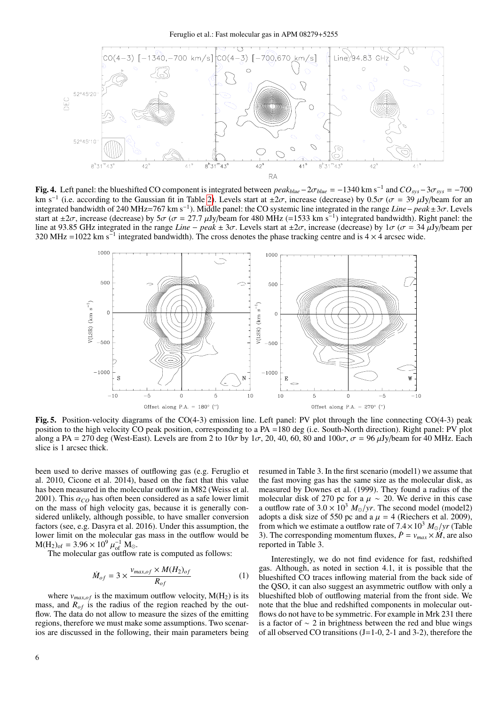

<span id="page-5-0"></span>Fig. 4. Left panel: the blueshifted CO component is integrated between  $peak_{blue} - 2\sigma_{blue} = -1340 \text{ km s}^{-1}$  and  $CO_{sys} - 3\sigma_{sys} = -700 \text{ km s}^{-1}$  (i.e. according to the Gaussian fit in Table 2). Levels start at  $+2\sigma$  increase (decre km s<sup>-1</sup> (i.e. according to the Gaussian fit in Table [2\)](#page-3-1). Levels start at  $\pm 2\sigma$ , increase (decrease) by 0.5 $\sigma$  ( $\sigma = 39 \mu$ Jy/beam for an integrated bandwidth of 240 MHz=767 km s<sup>-1</sup>). Middle panel: the CO systemic lin integrated bandwidth of 240 MHz=767 km s−<sup>1</sup> ). Middle panel: the CO systemic line integrated in the range *Line*<sup>−</sup> *peak*±3σ. Levels start at  $\pm 2\sigma$ , increase (decrease) by  $5\sigma$  ( $\sigma = 27.7$   $\mu$ Jy/beam for 480 MHz (=1533 km s<sup>-1</sup>) integrated bandwidth). Right panel: the start of the range *Line – pegk* + 3 $\sigma$ . Levels start at +2 $\sigma$  increase (decre line at 93.85 GHz integrated in the range *Line* − *peak* ± 3 $\sigma$ . Levels start at ±2 $\sigma$ , increase (decrease) by 1 $\sigma$  ( $\sigma$  = 34 µJy/beam per 320 MHz =1022 km s<sup>-1</sup> integrated bandwidth). The cross denotes the phase tracking centre and is  $4 \times 4$  arcsec wide.



<span id="page-5-1"></span>Fig. 5. Position-velocity diagrams of the CO(4-3) emission line. Left panel: PV plot through the line connecting CO(4-3) peak position to the high velocity CO peak position, corresponding to a PA =180 deg (i.e. South-North direction). Right panel: PV plot along a PA = 270 deg (West-East). Levels are from 2 to  $10\sigma$  by  $1\sigma$ , 20, 40, 60, 80 and  $100\sigma$ ,  $\sigma$  = 96  $\mu$ Jy/beam for 40 MHz. Each slice is 1 arcsec thick.

been used to derive masses of outflowing gas (e.g. Feruglio et al. 2010, Cicone et al. 2014), based on the fact that this value has been measured in the molecular outflow in M82 (Weiss et al. 2001). This  $\alpha_{CO}$  has often been considered as a safe lower limit on the mass of high velocity gas, because it is generally considered unlikely, although possible, to have smaller conversion factors (see, e.g. Dasyra et al. 2016). Under this assumption, the lower limit on the molecular gas mass in the outflow would be  $M(H_2)_{of} = 3.96 \times 10^9 \mu_{of}^{-1} M_{\odot}$ .<br>The molecular gas outflow

The molecular gas outflow rate is computed as follows:

$$
\dot{M}_{of} = 3 \times \frac{v_{max,of} \times M(H_2)_{of}}{R_{of}}
$$
 (1)

where  $v_{max,of}$  is the maximum outflow velocity,  $M(H_2)$  is its mass, and  $R_{of}$  is the radius of the region reached by the outflow. The data do not allow to measure the sizes of the emitting regions, therefore we must make some assumptions. Two scenarios are discussed in the following, their main parameters being resumed in Table 3. In the first scenario (model1) we assume that the fast moving gas has the same size as the molecular disk, as measured by Downes et al. (1999). They found a radius of the molecular disk of 270 pc for a  $\mu \sim 20$ . We derive in this case a outflow rate of  $3.0 \times 10^3$   $M_{\odot}/yr$ . The second model (model2) adopts a disk size of 550 pc and a  $\mu = 4$  (Riechers et al. 2009), from which we estimate a outflow rate of  $7.4 \times 10^3$   $M_{\odot}/yr$  (Table 3). The corresponding momentum fluxes,  $\dot{P} = v_{max} \times \dot{M}$ , are also reported in Table 3.

Interestingly, we do not find evidence for fast, redshifted gas. Although, as noted in section 4.1, it is possible that the blueshifted CO traces inflowing material from the back side of the QSO, it can also suggest an asymmetric outflow with only a blueshifted blob of outflowing material from the front side. We note that the blue and redshifted components in molecular outflows do not have to be symmetric. For example in Mrk 231 there is a factor of ∼ 2 in brightness between the red and blue wings of all observed CO transitions (J=1-0, 2-1 and 3-2), therefore the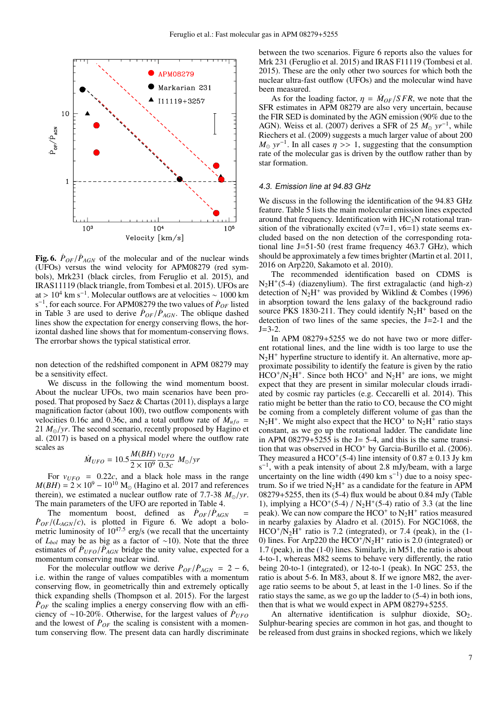

**Fig. 6.**  $\dot{P}_{OF}/\dot{P}_{AGN}$  of the molecular and of the nuclear winds (UFOs) versus the wind velocity for APM08279 (red sym-(UFOs) versus the wind velocity for APM08279 (red symbols), Mrk231 (black circles, from Feruglio et al. 2015), and IRAS11119 (black triangle, from Tombesi et al. 2015). UFOs are at > 10<sup>4</sup> km s<sup>-1</sup>. Molecular outflows are at velocities ~ 1000 km s<sup>-1</sup> for each source. For APM08279 the two values of  $\dot{P}_{QE}$  listed  $s^{-1}$ , for each source. For APM08279 the two values of  $\dot{P}_{OF}$  listed in Table 3 are used to derive  $\dot{P}_{OF}/\dot{P}_{AGN}$ . The oblique dashed lines show the expectation for energy conserving flows the horlines show the expectation for energy conserving flows, the horizontal dashed line shows that for momentum-conserving flows. The errorbar shows the typical statistical error.

non detection of the redshifted component in APM 08279 may be a sensitivity effect.

We discuss in the following the wind momentum boost. About the nuclear UFOs, two main scenarios have been proposed. That proposed by Saez & Chartas (2011), displays a large magnification factor (about 100), two outflow components with velocities 0.16c and 0.36c, and a total outflow rate of  $\dot{M}_{\mu f o}$  = 21  $M_{\odot}/yr$ . The second scenario, recently proposed by Hagino et al. (2017) is based on a physical model where the outflow rate scales as

$$
\dot{M}_{UFO} = 10.5 \frac{M(BH)}{2 \times 10^9} \frac{v_{UFO}}{0.3c} M_{\odot}/yr
$$

For  $v_{UFO} = 0.22c$ , and a black hole mass in the range For  $v_{UFO} = 0.22c$ , and a black hole mass in the range  $M(BH) = 2 \times 10^9 - 10^{10}$  M<sub>\oppo</sub> (Hagino et al. 2017 and references therein), we estimated a nuclear outflow rate of 7.7-38  $M_{\odot}/yr$ . The main parameters of the UFO are reported in Table 4.

The momentum boost, defined as  $\dot{P}_{OF}/\dot{P}_{AGN} =$ <br> $\frac{P_{GF}}{P_{AGN}}$  is plotted in Figure 6. We adopt a bolo- $\dot{P}_{OF}/(L_{AGN}/c)$ , is plotted in Figure 6. We adopt a bolo-<br>metric luminosity of  $10^{47.5}$  erg/s (we recall that the uncertainty of *Lbol* may be as big as a factor of ∼10). Note that the three estimates of  $\dot{P}_{UFO}/\dot{P}_{AGN}$  bridge the unity value, expected for a momentum conserving nuclear wind momentum conserving nuclear wind.

For the molecular outflow we derive  $\dot{P}_{OF}/\dot{P}_{AGN} = 2 - 6$ , within the range of values compatibles with a momentum i.e. within the range of values compatibles with a momentum conserving flow, in geometrically thin and extremely optically thick expanding shells (Thompson et al. 2015). For the largest  $\dot{P}_{OF}$  the scaling implies a energy conserving flow with an efficiency of ∼10-20%. Otherwise, for the largest values of *P*˙*UFO* and the lowest of  $\dot{P}_{OF}$  the scaling is consistent with a momentum conserving flow. The present data can hardly discriminate between the two scenarios. Figure 6 reports also the values for Mrk 231 (Feruglio et al. 2015) and IRAS F11119 (Tombesi et al. 2015). These are the only other two sources for which both the nuclear ultra-fast outflow (UFOs) and the molecular wind have been measured.

As for the loading factor,  $\eta = \dot{M}_{OF}/SFR$ , we note that the SFR estimates in APM 08279 are also very uncertain, because the FIR SED is dominated by the AGN emission (90% due to the AGN). Weiss et al. (2007) derives a SFR of 25  $M_{\odot}$  yr<sup>-1</sup>, while Riechers et al. (2009) suggests a much larger value of about 200  $M_{\odot}$   $yr^{-1}$ . In all cases  $\eta$  >> 1, suggesting that the consumption rate of the molecular gas is driven by the outflow rather than by rate of the molecular gas is driven by the outflow rather than by star formation.

### <span id="page-6-0"></span>4.3. Emission line at 94.83 GHz

We discuss in the following the identification of the 94.83 GHz feature. Table 5 lists the main molecular emission lines expected around that frequency. Identification with  $HC<sub>3</sub>N$  rotational transition of the vibrationally excited  $(v7=1, v6=1)$  state seems excluded based on the non detection of the corresponding rotational line J=51-50 (rest frame frequency 463.7 GHz), which should be approximately a few times brighter (Martin et al. 2011, 2016 on Arp220, Sakamoto et al. 2010).

The recommended identification based on CDMS is  $N_2H^+(5-4)$  (diazenylium). The first extragalactic (and high-z) detection of  $N_2H^+$  was provided by Wiklind & Combes (1996) in absorption toward the lens galaxy of the background radio source PKS 1830-211. They could identify  $N_2H^+$  based on the detection of two lines of the same species, the  $J=2-1$  and the  $J=3-2$ .

In APM 08279+5255 we do not have two or more different rotational lines, and the line width is too large to use the N<sub>2</sub>H<sup>+</sup> hyperfine structure to identify it. An alternative, more approximate possibility to identify the feature is given by the ratio  $HCO^{+}/N_{2}H^{+}$ . Since both  $HCO^{+}$  and  $N_{2}H^{+}$  are ions, we might expect that they are present in similar molecular clouds irradiated by cosmic ray particles (e.g. Ceccarelli et al. 2014). This ratio might be better than the ratio to CO, because the CO might be coming from a completely different volume of gas than the  $N_2H^+$ . We might also expect that the HCO<sup>+</sup> to  $N_2H^+$  ratio stays constant, as we go up the rotational ladder. The candidate line in APM  $08279+5255$  is the J = 5-4, and this is the same transition that was observed in HCO<sup>+</sup> by Garcia-Burillo et al. (2006). They measured a HCO<sup>+</sup>(5-4) line intensity of 0.87  $\pm$  0.13 Jy km s<sup>-1</sup> with a peak intensity of about 2.8 mJy/beam, with a large  $s^{-1}$ , with a peak intensity of about 2.8 mJy/beam, with a large uncertainty on the line width (490 km s<sup>-1</sup>) due to a noisy spectrum. So if we tried  $N_2H^+$  as a candidate for the feature in APM <sup>08279</sup>+5255, then its (5-4) flux would be about 0.84 mJy (Table 1), implying a HCO<sup>+</sup>(5-4) / N<sub>2</sub>H<sup>+</sup>(5-4) ratio of 3.3 (at the line peak). We can now compare the HCO<sup>+</sup> to  $N_2H^+$  ratios measured in nearby galaxies by Aladro et al. (2015). For NGC1068, the  $HCO^{+}/N_{2}H^{+}$  ratio is 7.2 (integrated), or 7.4 (peak), in the (1-0) lines. For Arp220 the  $HCO^+/N_2H^+$  ratio is 2.0 (integrated) or 1.7 (peak), in the (1-0) lines. Similarly, in M51, the ratio is about 4-to-1, whereas M82 seems to behave very differently, the ratio being 20-to-1 (integrated), or 12-to-1 (peak). In NGC 253, the ratio is about 5-6. In M83, about 8. If we ignore M82, the average ratio seems to be about 5, at least in the 1-0 lines. So if the ratio stays the same, as we go up the ladder to (5-4) in both ions, then that is what we would expect in APM 08279+5255.

An alternative identification is sulphur dioxide,  $SO_2$ . Sulphur-bearing species are common in hot gas, and thought to be released from dust grains in shocked regions, which we likely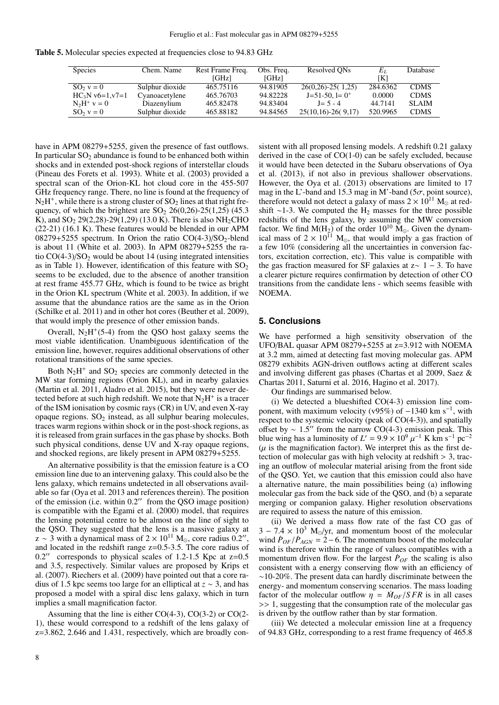Table 5. Molecular species expected at frequencies close to 94.83 GHz

| <b>Species</b>     | Chem. Name      | Rest Frame Freq. | Obs. Freq. | Resolved ON <sub>S</sub> | Eī.      | <b>Database</b> |
|--------------------|-----------------|------------------|------------|--------------------------|----------|-----------------|
|                    |                 | [GHz]            | [GHz]      |                          | [K]      |                 |
| $SO_2 v = 0$       | Sulphur dioxide | 465.75116        | 94.81905   | $26(0,26) - 25(1,25)$    | 284.6362 | <b>CDMS</b>     |
| $HC_3N v6=1, v7=1$ | Cyanoacetylene  | 465.76703        | 94.82228   | $J=51-50$ , l= $0^+$     | 0.0000   | <b>CDMS</b>     |
| $N_2H^+$ y = 0     | Diazenylium     | 465.82478        | 94.83404   | $J = 5 - 4$              | 44.7141  | <b>SLAIM</b>    |
| $SO_2 v = 0$       | Sulphur dioxide | 465.88182        | 94.84565   | $25(10,16)-26(9,17)$     | 520.9965 | <b>CDMS</b>     |

have in APM 08279+5255, given the presence of fast outflows. In particular  $SO<sub>2</sub>$  abundance is found to be enhanced both within shocks and in extended post-shock regions of interstellar clouds (Pineau des Forets et al. 1993). White et al. (2003) provided a spectral scan of the Orion-KL hot cloud core in the 455-507 GHz frequency range. There, no line is found at the frequency of  $N_2H^+$ , while there is a strong cluster of  $SO_2$  lines at that right frequency, of which the brightest are  $SO_2$  26(0,26)-25(1,25) (45.3) K), and SO<sub>2</sub> 29(2,28)-29(1,29) (13.0 K). There is also NH<sub>2</sub>CHO (22-21) (16.1 K). These features would be blended in our APM 08279+5255 spectrum. In Orion the ratio  $CO(4-3)/SO_2$ -blend is about 11 (White et al. 2003). In APM 08279+5255 the ratio  $CO(4-3)/SO<sub>2</sub>$  would be about 14 (using integrated intensities as in Table 1). However, identification of this feature with  $SO<sub>2</sub>$ seems to be excluded, due to the absence of another transition at rest frame 455.77 GHz, which is found to be twice as bright in the Orion KL spectrum (White et al. 2003). In addition, if we assume that the abundance ratios are the same as in the Orion (Schilke et al. 2011) and in other hot cores (Beuther et al. 2009), that would imply the presence of other emission bands.

Overall,  $N_2H^+(5-4)$  from the QSO host galaxy seems the most viable identification. Unambiguous identification of the emission line, however, requires additional observations of other rotational transitions of the same species.

Both  $N_2H^+$  and  $SO_2$  species are commonly detected in the MW star forming regions (Orion KL), and in nearby galaxies (Martin et al. 2011, Aladro et al. 2015), but they were never detected before at such high redshift. We note that  $N_2H^+$  is a tracer of the ISM ionisation by cosmic rays (CR) in UV, and even X-ray opaque regions.  $SO_2$  instead, as all sulphur bearing molecules, traces warm regions within shock or in the post-shock regions, as it is released from grain surfaces in the gas phase by shocks. Both such physical conditions, dense UV and X-ray opaque regions, and shocked regions, are likely present in APM 08279+5255.

An alternative possibility is that the emission feature is a CO emission line due to an intervening galaxy. This could also be the lens galaxy, which remains undetected in all observations available so far (Oya et al. 2013 and references therein). The position of the emission (i.e. within  $0.2<sup>7</sup>$  from the QSO image position) is compatible with the Egami et al. (2000) model, that requires the lensing potential centre to be almost on the line of sight to the QSO. They suggested that the lens is a massive galaxy at  $z \sim 3$  with a dynamical mass of  $2 \times 10^{11}$  M<sub>o</sub>, core radius 0.2", and located in the redshift range z=0.5-3.5. The core radius of  $0.2$ " corresponds to physical scales of 1.2-1.5 Kpc at  $z=0.5$ and 3.5, respectively. Similar values are proposed by Krips et al. (2007). Riechers et al. (2009) have pointed out that a core radius of 1.5 kpc seems too large for an elliptical at *z* ∼ 3, and has proposed a model with a spiral disc lens galaxy, which in turn implies a small magnification factor.

Assuming that the line is either CO(4-3), CO(3-2) or CO(2- 1), these would correspond to a redshift of the lens galaxy of z=3.862, 2.646 and 1.431, respectively, which are broadly consistent with all proposed lensing models. A redshift 0.21 galaxy derived in the case of CO(1-0) can be safely excluded, because it would have been detected in the Subaru observations of Oya et al. (2013), if not also in previous shallower observations. However, the Oya et al. (2013) observations are limited to 17 mag in the L'-band and 15.3 mag in M'-band (5 $\sigma$ , point source), therefore would not detect a galaxy of mass  $2 \times 10^{11}$  M<sub>o</sub> at redshift ∼1-3. We computed the  $H_2$  masses for the three possible redshifts of the lens galaxy, by assuming the MW conversion factor. We find  $M(H_2)$  of the order  $10^{10}$   $M_\odot$ . Given the dynamical mass of  $2 \times 10^{11}$  M<sub>o</sub>, that would imply a gas fraction of a few 10% (considering all the uncertainties in conversion factors, excitation correction, etc). This value is compatible with the gas fraction measured for SF galaxies at  $z \sim 1 - 3$ . To have a clearer picture requires confirmation by detection of other CO transitions from the candidate lens - which seems feasible with NOEMA.

## **5. Conclusions**

We have performed a high sensitivity observation of the UFO/BAL quasar APM 08279+5255 at z=3.912 with NOEMA at 3.2 mm, aimed at detecting fast moving molecular gas. APM 08279 exhibits AGN-driven outflows acting at different scales and involving different gas phases (Chartas et al 2009, Saez & Chartas 2011, Saturni et al. 2016, Hagino et al. 2017).

Our findings are summarised below.

(i) We detected a blueshifted CO(4-3) emission line component, with maximum velocity (v95%) of  $-1340 \text{ km s}^{-1}$ , with respect to the systemic velocity (peak of CO(4-3)), and spatially offset by ~ 1.5" from the narrow CO(4-3) emission peak. This blue wing has a luminosity of  $L' = 9.9 \times 10^9 \mu^{-1}$  K km s<sup>-1</sup> pc<sup>-2</sup> blue wing has a luminosity of  $L' = 9.9 \times 10^9 \mu^{-1}$  K km s<sup>-1</sup> pc<sup>-2</sup>  $(\mu$  is the magnification factor). We interpret this as the first de- $(\mu)$  is the magnification factor). We interpret this as the first detection of molecular gas with high velocity at redshift > 3, tracing an outflow of molecular material arising from the front side of the QSO. Yet, we caution that this emission could also have a alternative nature, the main possibilities being (a) inflowing molecular gas from the back side of the QSO, and (b) a separate merging or companion galaxy. Higher resolution observations are required to assess the nature of this emission.

(ii) We derived a mass flow rate of the fast CO gas of  $3 - 7.4 \times 10^3$  M<sub>o</sub>/yr, and momentum boost of the molecular wind  $\dot{P}_{OF}/\dot{P}_{AGN} = 2-6$ . The momentum boost of the molecular wind is therefore within the range of values compatibles with a wind is therefore within the range of values compatibles with a momentum driven flow. For the largest  $\dot{P}_{OF}$  the scaling is also consistent with a energy conserving flow with an efficiency of ∼10-20%. The present data can hardly discriminate between the energy- and momentum conserving scenarios. The mass loading factor of the molecular outflow  $\eta = \dot{M}_{OF}/SFR$  is in all cases >> 1, suggesting that the consumption rate of the molecular gas is driven by the outflow rather than by star formation.

(iii) We detected a molecular emission line at a frequency of 94.83 GHz, corresponding to a rest frame frequency of 465.8